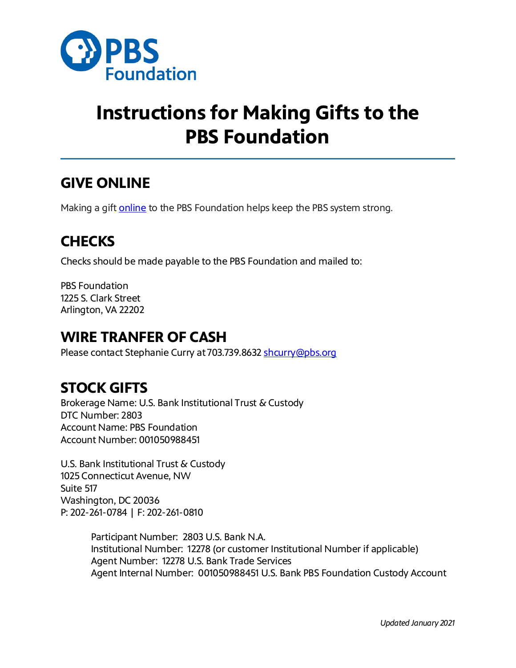

# **Instructions for Making Gifts to the PBS Foundation**

#### **GIVE ONLINE**

Making a gift **[online](https://secure2.convio.net/pbsfou/site/Donation2;jsessionid=00000000.app227a?df_id=1520&1520.donation=form1&mfc_pref=T&NONCE_TOKEN=2B115DE2B5A29EFF975CF96C766E52CC)** to the PBS Foundation helps keep the PBS system strong.

### **CHECKS**

Checks should be made payable to the PBS Foundation and mailed to:

PBS Foundation 1225 S. Clark Street Arlington, VA 22202

#### **WIRE TRANFER OF CASH**

Please contact Stephanie Curry at 703.739.8632 [shcurry@pbs.org](mailto:shcurry@pbs.org)

## **STOCK GIFTS**

Brokerage Name: U.S. Bank Institutional Trust & Custody DTC Number: 2803 Account Name: PBS Foundation Account Number: 001050988451

U.S. Bank Institutional Trust & Custody 1025 Connecticut Avenue, NW Suite 517 Washington, DC 20036 P: 202-261-0784 | F: 202-261-0810

> Participant Number: 2803 U.S. Bank N.A. Institutional Number: 12278 (or customer Institutional Number if applicable) Agent Number: 12278 U.S. Bank Trade Services Agent Internal Number: 001050988451 U.S. Bank PBS Foundation Custody Account